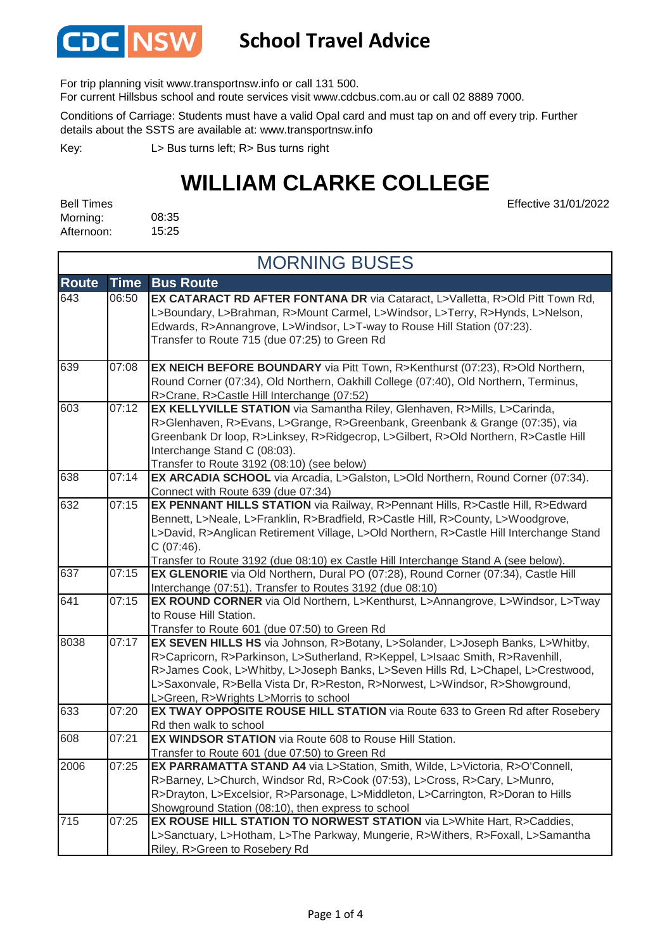

### **School Travel Advice**

For trip planning visit www.transportnsw.info or call 131 500.

For current Hillsbus school and route services visit www.cdcbus.com.au or call 02 8889 7000.

Conditions of Carriage: Students must have a valid Opal card and must tap on and off every trip. Further details about the SSTS are available at: www.transportnsw.info

L> Bus turns left; R> Bus turns right Key:

## **WILLIAM CLARKE COLLEGE**

Effective 31/01/2022

08:35 15:25 Bell Times Morning: Afternoon:

| <b>MORNING BUSES</b> |             |                                                                                                                                                                                                                                                                                                                                                                              |
|----------------------|-------------|------------------------------------------------------------------------------------------------------------------------------------------------------------------------------------------------------------------------------------------------------------------------------------------------------------------------------------------------------------------------------|
| <b>Route</b>         | <b>Time</b> | <b>Bus Route</b>                                                                                                                                                                                                                                                                                                                                                             |
| 643                  | 06:50       | EX CATARACT RD AFTER FONTANA DR via Cataract, L>Valletta, R>Old Pitt Town Rd,<br>L>Boundary, L>Brahman, R>Mount Carmel, L>Windsor, L>Terry, R>Hynds, L>Nelson,<br>Edwards, R>Annangrove, L>Windsor, L>T-way to Rouse Hill Station (07:23).<br>Transfer to Route 715 (due 07:25) to Green Rd                                                                                  |
| 639                  | 07:08       | EX NEICH BEFORE BOUNDARY via Pitt Town, R>Kenthurst (07:23), R>Old Northern,<br>Round Corner (07:34), Old Northern, Oakhill College (07:40), Old Northern, Terminus,<br>R>Crane, R>Castle Hill Interchange (07:52)                                                                                                                                                           |
| 603                  | 07:12       | EX KELLYVILLE STATION via Samantha Riley, Glenhaven, R>Mills, L>Carinda,<br>R>Glenhaven, R>Evans, L>Grange, R>Greenbank, Greenbank & Grange (07:35), via<br>Greenbank Dr loop, R>Linksey, R>Ridgecrop, L>Gilbert, R>Old Northern, R>Castle Hill<br>Interchange Stand C (08:03).<br>Transfer to Route 3192 (08:10) (see below)                                                |
| 638                  | 07:14       | EX ARCADIA SCHOOL via Arcadia, L>Galston, L>Old Northern, Round Corner (07:34).<br>Connect with Route 639 (due 07:34)                                                                                                                                                                                                                                                        |
| 632                  | 07:15       | EX PENNANT HILLS STATION via Railway, R>Pennant Hills, R>Castle Hill, R>Edward<br>Bennett, L>Neale, L>Franklin, R>Bradfield, R>Castle Hill, R>County, L>Woodgrove,<br>L>David, R>Anglican Retirement Village, L>Old Northern, R>Castle Hill Interchange Stand<br>$C(07:46)$ .<br>Transfer to Route 3192 (due 08:10) ex Castle Hill Interchange Stand A (see below).          |
| 637                  | 07:15       | EX GLENORIE via Old Northern, Dural PO (07:28), Round Corner (07:34), Castle Hill<br>Interchange (07:51). Transfer to Routes 3192 (due 08:10)                                                                                                                                                                                                                                |
| 641                  | 07:15       | EX ROUND CORNER via Old Northern, L>Kenthurst, L>Annangrove, L>Windsor, L>Tway<br>to Rouse Hill Station.<br>Transfer to Route 601 (due 07:50) to Green Rd                                                                                                                                                                                                                    |
| 8038                 | 07:17       | EX SEVEN HILLS HS via Johnson, R>Botany, L>Solander, L>Joseph Banks, L>Whitby,<br>R>Capricorn, R>Parkinson, L>Sutherland, R>Keppel, L>Isaac Smith, R>Ravenhill,<br>R>James Cook, L>Whitby, L>Joseph Banks, L>Seven Hills Rd, L>Chapel, L>Crestwood,<br>L>Saxonvale, R>Bella Vista Dr, R>Reston, R>Norwest, L>Windsor, R>Showground,<br>L>Green, R>Wrights L>Morris to school |
| 633                  | 07:20       | EX TWAY OPPOSITE ROUSE HILL STATION via Route 633 to Green Rd after Rosebery<br>Rd then walk to school                                                                                                                                                                                                                                                                       |
| 608                  | 07:21       | EX WINDSOR STATION via Route 608 to Rouse Hill Station.<br>Transfer to Route 601 (due 07:50) to Green Rd                                                                                                                                                                                                                                                                     |
| 2006                 | 07:25       | EX PARRAMATTA STAND A4 via L>Station, Smith, Wilde, L>Victoria, R>O'Connell,<br>R>Barney, L>Church, Windsor Rd, R>Cook (07:53), L>Cross, R>Cary, L>Munro,<br>R>Drayton, L>Excelsior, R>Parsonage, L>Middleton, L>Carrington, R>Doran to Hills<br>Showground Station (08:10), then express to school                                                                          |
| 715                  | 07:25       | EX ROUSE HILL STATION TO NORWEST STATION via L>White Hart, R>Caddies,<br>L>Sanctuary, L>Hotham, L>The Parkway, Mungerie, R>Withers, R>Foxall, L>Samantha<br>Riley, R>Green to Rosebery Rd                                                                                                                                                                                    |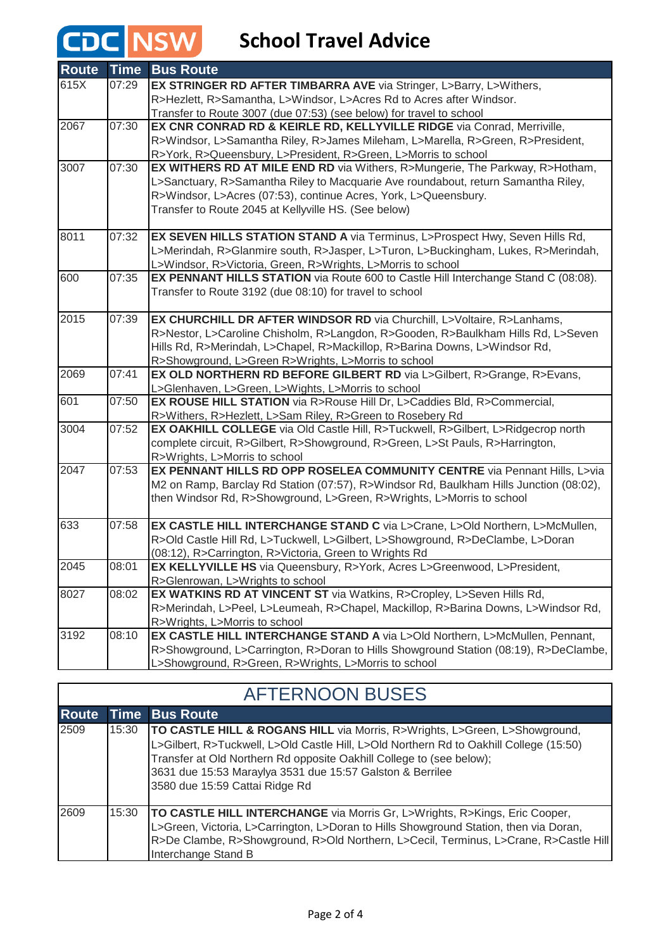# **CDC** NSW School Travel Advice

| <b>Route</b> | <b>Time</b> | <b>Bus Route</b>                                                                       |
|--------------|-------------|----------------------------------------------------------------------------------------|
| 615X         | 07:29       | EX STRINGER RD AFTER TIMBARRA AVE via Stringer, L>Barry, L>Withers,                    |
|              |             | R>Hezlett, R>Samantha, L>Windsor, L>Acres Rd to Acres after Windsor.                   |
|              |             | Transfer to Route 3007 (due 07:53) (see below) for travel to school                    |
| 2067         | 07:30       | EX CNR CONRAD RD & KEIRLE RD, KELLYVILLE RIDGE via Conrad, Merriville,                 |
|              |             | R>Windsor, L>Samantha Riley, R>James Mileham, L>Marella, R>Green, R>President,         |
|              |             | R>York, R>Queensbury, L>President, R>Green, L>Morris to school                         |
| 3007         | 07:30       | EX WITHERS RD AT MILE END RD via Withers, R>Mungerie, The Parkway, R>Hotham,           |
|              |             | L>Sanctuary, R>Samantha Riley to Macquarie Ave roundabout, return Samantha Riley,      |
|              |             | R>Windsor, L>Acres (07:53), continue Acres, York, L>Queensbury.                        |
|              |             | Transfer to Route 2045 at Kellyville HS. (See below)                                   |
|              |             |                                                                                        |
| 8011         | 07:32       | EX SEVEN HILLS STATION STAND A via Terminus, L>Prospect Hwy, Seven Hills Rd,           |
|              |             | L>Merindah, R>Glanmire south, R>Jasper, L>Turon, L>Buckingham, Lukes, R>Merindah,      |
|              |             | L>Windsor, R>Victoria, Green, R>Wrights, L>Morris to school                            |
| 600          | 07:35       | EX PENNANT HILLS STATION via Route 600 to Castle Hill Interchange Stand C (08:08).     |
|              |             | Transfer to Route 3192 (due 08:10) for travel to school                                |
| 2015         | 07:39       | EX CHURCHILL DR AFTER WINDSOR RD via Churchill, L>Voltaire, R>Lanhams,                 |
|              |             | R>Nestor, L>Caroline Chisholm, R>Langdon, R>Gooden, R>Baulkham Hills Rd, L>Seven       |
|              |             | Hills Rd, R>Merindah, L>Chapel, R>Mackillop, R>Barina Downs, L>Windsor Rd,             |
|              |             | R>Showground, L>Green R>Wrights, L>Morris to school                                    |
| 2069         | 07:41       | EX OLD NORTHERN RD BEFORE GILBERT RD via L>Gilbert, R>Grange, R>Evans,                 |
|              |             | L>Glenhaven, L>Green, L>Wights, L>Morris to school                                     |
| 601          | 07:50       | EX ROUSE HILL STATION via R>Rouse Hill Dr, L>Caddies Bld, R>Commercial,                |
|              |             | R>Withers, R>Hezlett, L>Sam Riley, R>Green to Rosebery Rd                              |
| 3004         | 07:52       | EX OAKHILL COLLEGE via Old Castle Hill, R>Tuckwell, R>Gilbert, L>Ridgecrop north       |
|              |             | complete circuit, R>Gilbert, R>Showground, R>Green, L>St Pauls, R>Harrington,          |
|              |             | R>Wrights, L>Morris to school                                                          |
| 2047         | 07:53       | EX PENNANT HILLS RD OPP ROSELEA COMMUNITY CENTRE via Pennant Hills, L>via              |
|              |             | M2 on Ramp, Barclay Rd Station (07:57), R>Windsor Rd, Baulkham Hills Junction (08:02), |
|              |             | then Windsor Rd, R>Showground, L>Green, R>Wrights, L>Morris to school                  |
|              |             |                                                                                        |
| 633          | 07:58       | EX CASTLE HILL INTERCHANGE STAND C via L>Crane, L>Old Northern, L>McMullen,            |
|              |             | R>Old Castle Hill Rd, L>Tuckwell, L>Gilbert, L>Showground, R>DeClambe, L>Doran         |
|              |             | (08:12), R>Carrington, R>Victoria, Green to Wrights Rd                                 |
| 2045         | 08:01       | EX KELLYVILLE HS via Queensbury, R>York, Acres L>Greenwood, L>President,               |
|              |             | R>Glenrowan, L>Wrights to school                                                       |
| 8027         | 08:02       | EX WATKINS RD AT VINCENT ST via Watkins, R>Cropley, L>Seven Hills Rd,                  |
|              |             | R>Merindah, L>Peel, L>Leumeah, R>Chapel, Mackillop, R>Barina Downs, L>Windsor Rd,      |
|              |             | R>Wrights, L>Morris to school                                                          |
| 3192         | 08:10       | EX CASTLE HILL INTERCHANGE STAND A via L>Old Northern, L>McMullen, Pennant,            |
|              |             | R>Showground, L>Carrington, R>Doran to Hills Showground Station (08:19), R>DeClambe,   |
|              |             | L>Showground, R>Green, R>Wrights, L>Morris to school                                   |

| <b>AFTERNOON BUSES</b> |       |                                                                                                                                                                                                                                                                                                                                             |  |  |
|------------------------|-------|---------------------------------------------------------------------------------------------------------------------------------------------------------------------------------------------------------------------------------------------------------------------------------------------------------------------------------------------|--|--|
| <b>Route</b>           |       | Time Bus Route                                                                                                                                                                                                                                                                                                                              |  |  |
| 2509                   | 15:30 | TO CASTLE HILL & ROGANS HILL via Morris, R>Wrights, L>Green, L>Showground,<br>L>Gilbert, R>Tuckwell, L>Old Castle Hill, L>Old Northern Rd to Oakhill College (15:50)<br>Transfer at Old Northern Rd opposite Oakhill College to (see below);<br>3631 due 15:53 Maraylya 3531 due 15:57 Galston & Berrilee<br>3580 due 15:59 Cattai Ridge Rd |  |  |
| 2609                   | 15:30 | TO CASTLE HILL INTERCHANGE via Morris Gr, L>Wrights, R>Kings, Eric Cooper,<br>L>Green, Victoria, L>Carrington, L>Doran to Hills Showground Station, then via Doran,<br>R>De Clambe, R>Showground, R>Old Northern, L>Cecil, Terminus, L>Crane, R>Castle Hill<br>Interchange Stand B                                                          |  |  |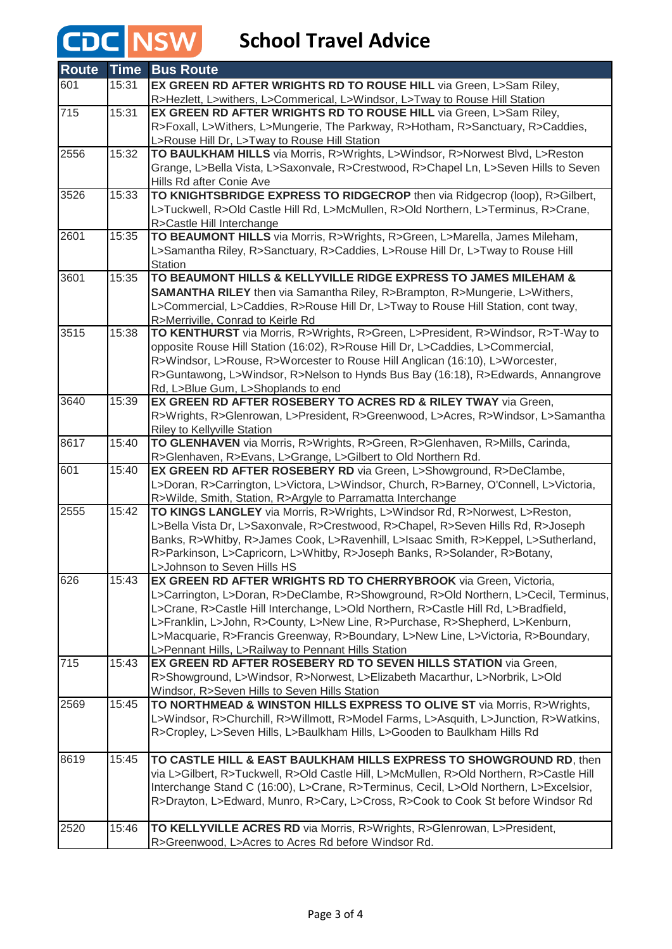# **CDC** NSW School Travel Advice

| <b>Route</b>     | <b>Time</b> | <b>Bus Route</b>                                                                                                                                     |
|------------------|-------------|------------------------------------------------------------------------------------------------------------------------------------------------------|
| 601              | 15:31       | EX GREEN RD AFTER WRIGHTS RD TO ROUSE HILL via Green, L>Sam Riley,                                                                                   |
|                  |             | R>Hezlett, L>withers, L>Commerical, L>Windsor, L>Tway to Rouse Hill Station                                                                          |
| $\overline{715}$ | 15:31       | EX GREEN RD AFTER WRIGHTS RD TO ROUSE HILL via Green, L>Sam Riley,                                                                                   |
|                  |             | R>Foxall, L>Withers, L>Mungerie, The Parkway, R>Hotham, R>Sanctuary, R>Caddies,                                                                      |
|                  |             | L>Rouse Hill Dr, L>Tway to Rouse Hill Station                                                                                                        |
| 2556             | 15:32       | TO BAULKHAM HILLS via Morris, R>Wrights, L>Windsor, R>Norwest Blvd, L>Reston                                                                         |
|                  |             | Grange, L>Bella Vista, L>Saxonvale, R>Crestwood, R>Chapel Ln, L>Seven Hills to Seven                                                                 |
|                  |             | Hills Rd after Conie Ave                                                                                                                             |
| 3526             | 15:33       | TO KNIGHTSBRIDGE EXPRESS TO RIDGECROP then via Ridgecrop (loop), R>Gilbert,                                                                          |
|                  |             | L>Tuckwell, R>Old Castle Hill Rd, L>McMullen, R>Old Northern, L>Terminus, R>Crane,                                                                   |
| 2601             | 15:35       | R>Castle Hill Interchange<br>TO BEAUMONT HILLS via Morris, R>Wrights, R>Green, L>Marella, James Mileham,                                             |
|                  |             | L>Samantha Riley, R>Sanctuary, R>Caddies, L>Rouse Hill Dr, L>Tway to Rouse Hill                                                                      |
|                  |             | <b>Station</b>                                                                                                                                       |
| 3601             | 15:35       | TO BEAUMONT HILLS & KELLYVILLE RIDGE EXPRESS TO JAMES MILEHAM &                                                                                      |
|                  |             | SAMANTHA RILEY then via Samantha Riley, R>Brampton, R>Mungerie, L>Withers,                                                                           |
|                  |             | L>Commercial, L>Caddies, R>Rouse Hill Dr, L>Tway to Rouse Hill Station, cont tway,                                                                   |
|                  |             | R>Merriville, Conrad to Keirle Rd                                                                                                                    |
| 3515             | 15:38       | TO KENTHURST via Morris, R>Wrights, R>Green, L>President, R>Windsor, R>T-Way to                                                                      |
|                  |             | opposite Rouse Hill Station (16:02), R>Rouse Hill Dr, L>Caddies, L>Commercial,                                                                       |
|                  |             | R>Windsor, L>Rouse, R>Worcester to Rouse Hill Anglican (16:10), L>Worcester,                                                                         |
|                  |             | R>Guntawong, L>Windsor, R>Nelson to Hynds Bus Bay (16:18), R>Edwards, Annangrove                                                                     |
|                  |             | Rd, L>Blue Gum, L>Shoplands to end                                                                                                                   |
| 3640             | 15:39       | EX GREEN RD AFTER ROSEBERY TO ACRES RD & RILEY TWAY via Green,                                                                                       |
|                  |             | R>Wrights, R>Glenrowan, L>President, R>Greenwood, L>Acres, R>Windsor, L>Samantha                                                                     |
|                  |             | Riley to Kellyville Station                                                                                                                          |
| 8617             | 15:40       | TO GLENHAVEN via Morris, R>Wrights, R>Green, R>Glenhaven, R>Mills, Carinda,                                                                          |
|                  |             | R>Glenhaven, R>Evans, L>Grange, L>Gilbert to Old Northern Rd.                                                                                        |
| 601              | 15:40       | EX GREEN RD AFTER ROSEBERY RD via Green, L>Showground, R>DeClambe,                                                                                   |
|                  |             | L>Doran, R>Carrington, L>Victora, L>Windsor, Church, R>Barney, O'Connell, L>Victoria,<br>R>Wilde, Smith, Station, R>Argyle to Parramatta Interchange |
| 2555             | 15:42       | TO KINGS LANGLEY via Morris, R>Wrights, L>Windsor Rd, R>Norwest, L>Reston,                                                                           |
|                  |             | L>Bella Vista Dr, L>Saxonvale, R>Crestwood, R>Chapel, R>Seven Hills Rd, R>Joseph                                                                     |
|                  |             | Banks, R>Whitby, R>James Cook, L>Ravenhill, L>Isaac Smith, R>Keppel, L>Sutherland,                                                                   |
|                  |             | R>Parkinson, L>Capricorn, L>Whitby, R>Joseph Banks, R>Solander, R>Botany,                                                                            |
|                  |             | L>Johnson to Seven Hills HS                                                                                                                          |
| 626              | 15:43       | EX GREEN RD AFTER WRIGHTS RD TO CHERRYBROOK via Green, Victoria,                                                                                     |
|                  |             | L>Carrington, L>Doran, R>DeClambe, R>Showground, R>Old Northern, L>Cecil, Terminus,                                                                  |
|                  |             | L>Crane, R>Castle Hill Interchange, L>Old Northern, R>Castle Hill Rd, L>Bradfield,                                                                   |
|                  |             | L>Franklin, L>John, R>County, L>New Line, R>Purchase, R>Shepherd, L>Kenburn,                                                                         |
|                  |             | L>Macquarie, R>Francis Greenway, R>Boundary, L>New Line, L>Victoria, R>Boundary,                                                                     |
|                  |             | L>Pennant Hills, L>Railway to Pennant Hills Station                                                                                                  |
| 715              | 15:43       | EX GREEN RD AFTER ROSEBERY RD TO SEVEN HILLS STATION via Green,                                                                                      |
|                  |             | R>Showground, L>Windsor, R>Norwest, L>Elizabeth Macarthur, L>Norbrik, L>Old                                                                          |
|                  |             | Windsor, R>Seven Hills to Seven Hills Station                                                                                                        |
| 2569             | 15:45       | TO NORTHMEAD & WINSTON HILLS EXPRESS TO OLIVE ST via Morris, R>Wrights,                                                                              |
|                  |             | L>Windsor, R>Churchill, R>Willmott, R>Model Farms, L>Asquith, L>Junction, R>Watkins,                                                                 |
|                  |             | R>Cropley, L>Seven Hills, L>Baulkham Hills, L>Gooden to Baulkham Hills Rd                                                                            |
| 8619             | 15:45       | TO CASTLE HILL & EAST BAULKHAM HILLS EXPRESS TO SHOWGROUND RD, then                                                                                  |
|                  |             | via L>Gilbert, R>Tuckwell, R>Old Castle Hill, L>McMullen, R>Old Northern, R>Castle Hill                                                              |
|                  |             | Interchange Stand C (16:00), L>Crane, R>Terminus, Cecil, L>Old Northern, L>Excelsior,                                                                |
|                  |             | R>Drayton, L>Edward, Munro, R>Cary, L>Cross, R>Cook to Cook St before Windsor Rd                                                                     |
|                  |             |                                                                                                                                                      |
| 2520             | 15:46       | TO KELLYVILLE ACRES RD via Morris, R>Wrights, R>Glenrowan, L>President,                                                                              |
|                  |             | R>Greenwood, L>Acres to Acres Rd before Windsor Rd.                                                                                                  |